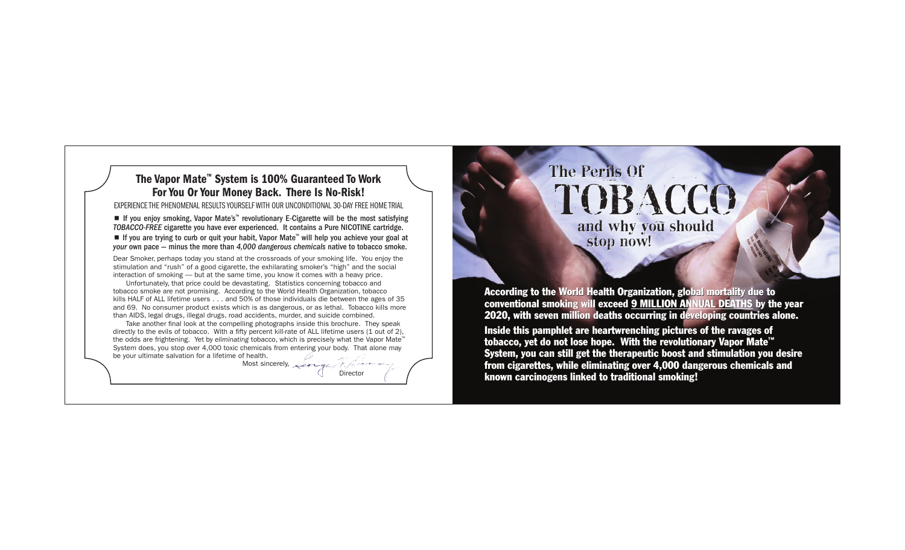## The Vapor Mate™ System is 100% Guaranteed To Work For You Or Your Money Back. There Is No-Risk!

EXPERIENCE THE PHENOMENAL RESULTS YOURSELF WITH OUR UNCONDITIONAL 30-DAY FREE HOME TRIAL

*TOBACCO-FREE* cigarette you have ever experienced. It contains a Pure NICOTINE cartridge. ■ If you are trying to curb or quit your habit, Vapor Mate<sup>™</sup> will help you achieve your goal at *your* own pace — minus the more than *4,000 dangerous chemicals* native to tobacco smoke.

Dear Smoker, perhaps today you stand at the crossroads of your smoking life. You enjoy the stimulation and "rush" of a good cigarette, the exhilarating smoker's "high" and the social interaction of smoking — but at the same time, you know it comes with a heavy price.

Unfortunately, that price could be devastating. Statistics concerning tobacco and tobacco smoke are not promising. According to the World Health Organization, tobacco kills HALF of ALL lifetime users . . . and 50% of those individuals die between the ages of 35 and 69. No consumer product exists which is as dangerous, or as lethal. Tobacco kills more than AIDS, legal drugs, illegal drugs, road accidents, murder, and suicide combined.

Take another final look at the compelling photographs inside this brochure. They speak directly to the evils of tobacco. With a fifty percent kill-rate of ALL lifetime users (1 out of 2), the odds are frightening. Yet by *eliminating* tobacco, which is precisely what the Vapor Mate™ System does, you stop over 4,000 toxic chemicals from entering your body. That alone may be your ultimate salvation for a lifetime of health.

Most sincerely,  $\sqrt{1/2}$ 

**Director** 

The Perils Of The Perils Of TOBACCO and why you should TOBACCO and why you should stop now!

According to the World Health Organization, global mortality due to conventional smoking will exceed <u>9 MILLION ANNUAL DEATHS</u> by the year 2020, with seven million deaths occurring in developing countries alone.

Inside this pamphlet are heartwrenching pictures of the ravages of Inside this pamphlet are heartwrenching pictures of the ravages of tobacco, yet do not lose hope. With the revolutionary Vapor Mate™ System, you can still get the therapeutic boost and stimulation you desire from cigarettes, while eliminating over 4,000 dangerous chemicals and known carcinogens linked to traditional smoking! ■ If you any smoking, Noon Mates" revolutionary Edigatete will be ensuited and the second in the second in the second in the second in the second in the second in the second in the second in the second in the second in th